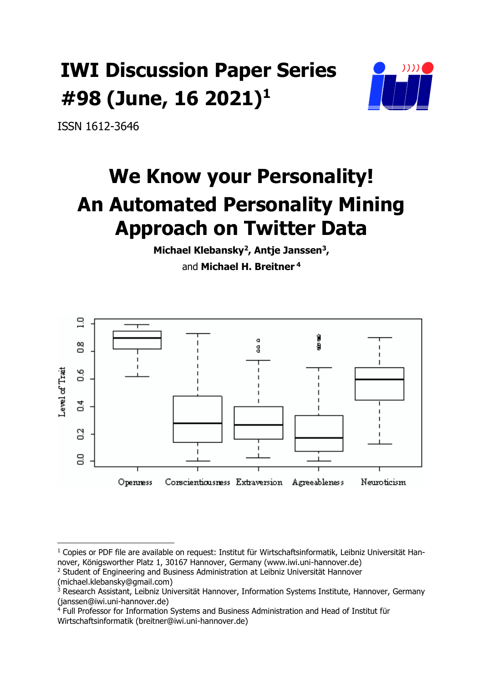# **IWI Discussion Paper Series #98 (June, 16 2021) 1**



ISSN 1612-3646

# **We Know your Personality! An Automated Personality Mining Approach on Twitter Data**

**Michael Klebansky<sup>2</sup> , Antje Janssen<sup>3</sup> ,**  and **Michael H. Breitner <sup>4</sup>**



 $\overline{a}$ 

<sup>&</sup>lt;sup>1</sup> Copies or PDF file are available on request: Institut für Wirtschaftsinformatik, Leibniz Universität Hannover, Königsworther Platz 1, 30167 Hannover, Germany (www.iwi.uni-hannover.de)

<sup>&</sup>lt;sup>2</sup> Student of Engineering and Business Administration at Leibniz Universität Hannover (michael.klebansky@gmail.com)

<sup>&</sup>lt;sup>3</sup> Research Assistant, Leibniz Universität Hannover, Information Systems Institute, Hannover, Germany (janssen@iwi.uni-hannover.de)

<sup>4</sup> Full Professor for Information Systems and Business Administration and Head of Institut für Wirtschaftsinformatik (breitner@iwi.uni-hannover.de)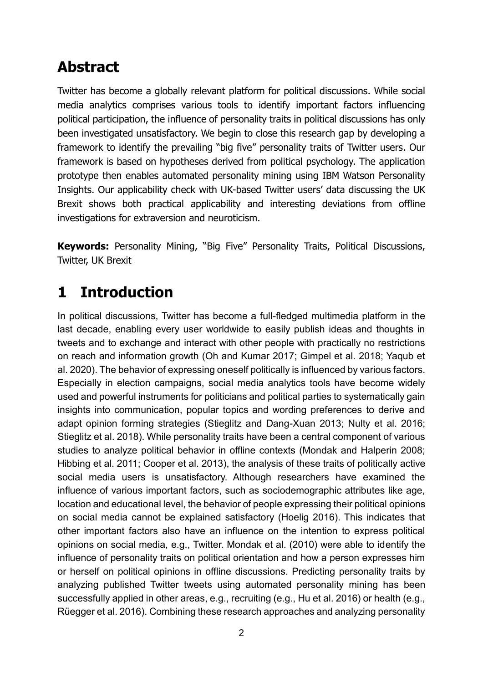## **Abstract**

Twitter has become a globally relevant platform for political discussions. While social media analytics comprises various tools to identify important factors influencing political participation, the influence of personality traits in political discussions has only been investigated unsatisfactory. We begin to close this research gap by developing a framework to identify the prevailing "big five" personality traits of Twitter users. Our framework is based on hypotheses derived from political psychology. The application prototype then enables automated personality mining using IBM Watson Personality Insights. Our applicability check with UK-based Twitter users' data discussing the UK Brexit shows both practical applicability and interesting deviations from offline investigations for extraversion and neuroticism.

**Keywords:** Personality Mining, "Big Five" Personality Traits, Political Discussions, Twitter, UK Brexit

## **1 Introduction**

In political discussions, Twitter has become a full-fledged multimedia platform in the last decade, enabling every user worldwide to easily publish ideas and thoughts in tweets and to exchange and interact with other people with practically no restrictions on reach and information growth (Oh and Kumar 2017; Gimpel et al. 2018; Yaqub et al. 2020). The behavior of expressing oneself politically is influenced by various factors. Especially in election campaigns, social media analytics tools have become widely used and powerful instruments for politicians and political parties to systematically gain insights into communication, popular topics and wording preferences to derive and adapt opinion forming strategies (Stieglitz and Dang-Xuan 2013; Nulty et al. 2016; Stieglitz et al. 2018). While personality traits have been a central component of various studies to analyze political behavior in offline contexts (Mondak and Halperin 2008; Hibbing et al. 2011; Cooper et al. 2013), the analysis of these traits of politically active social media users is unsatisfactory. Although researchers have examined the influence of various important factors, such as sociodemographic attributes like age, location and educational level, the behavior of people expressing their political opinions on social media cannot be explained satisfactory (Hoelig 2016). This indicates that other important factors also have an influence on the intention to express political opinions on social media, e.g., Twitter. Mondak et al. (2010) were able to identify the influence of personality traits on political orientation and how a person expresses him or herself on political opinions in offline discussions. Predicting personality traits by analyzing published Twitter tweets using automated personality mining has been successfully applied in other areas, e.g., recruiting (e.g., Hu et al. 2016) or health (e.g., Rüegger et al. 2016). Combining these research approaches and analyzing personality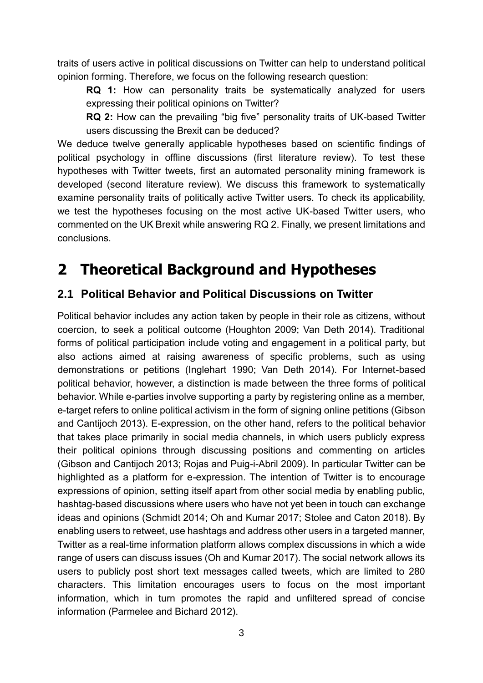traits of users active in political discussions on Twitter can help to understand political opinion forming. Therefore, we focus on the following research question:

**RQ 1:** How can personality traits be systematically analyzed for users expressing their political opinions on Twitter?

**RQ 2:** How can the prevailing "big five" personality traits of UK-based Twitter users discussing the Brexit can be deduced?

We deduce twelve generally applicable hypotheses based on scientific findings of political psychology in offline discussions (first literature review). To test these hypotheses with Twitter tweets, first an automated personality mining framework is developed (second literature review). We discuss this framework to systematically examine personality traits of politically active Twitter users. To check its applicability, we test the hypotheses focusing on the most active UK-based Twitter users, who commented on the UK Brexit while answering RQ 2. Finally, we present limitations and conclusions.

## **2 Theoretical Background and Hypotheses**

#### **2.1 Political Behavior and Political Discussions on Twitter**

Political behavior includes any action taken by people in their role as citizens, without coercion, to seek a political outcome (Houghton 2009; Van Deth 2014). Traditional forms of political participation include voting and engagement in a political party, but also actions aimed at raising awareness of specific problems, such as using demonstrations or petitions (Inglehart 1990; Van Deth 2014). For Internet-based political behavior, however, a distinction is made between the three forms of political behavior. While e-parties involve supporting a party by registering online as a member, e-target refers to online political activism in the form of signing online petitions (Gibson and Cantijoch 2013). E-expression, on the other hand, refers to the political behavior that takes place primarily in social media channels, in which users publicly express their political opinions through discussing positions and commenting on articles (Gibson and Cantijoch 2013; Rojas and Puig-i-Abril 2009). In particular Twitter can be highlighted as a platform for e-expression. The intention of Twitter is to encourage expressions of opinion, setting itself apart from other social media by enabling public, hashtag-based discussions where users who have not yet been in touch can exchange ideas and opinions (Schmidt 2014; Oh and Kumar 2017; Stolee and Caton 2018). By enabling users to retweet, use hashtags and address other users in a targeted manner, Twitter as a real-time information platform allows complex discussions in which a wide range of users can discuss issues (Oh and Kumar 2017). The social network allows its users to publicly post short text messages called tweets, which are limited to 280 characters. This limitation encourages users to focus on the most important information, which in turn promotes the rapid and unfiltered spread of concise information (Parmelee and Bichard 2012).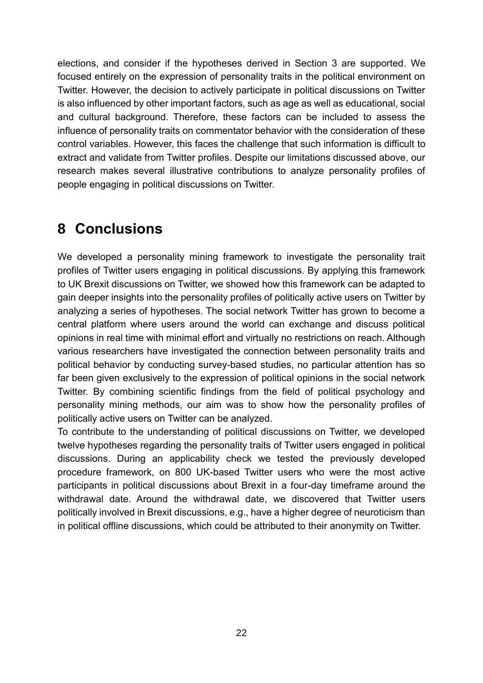elections, and consider if the hypotheses derived in Section 3 are supported. We focused entirely on the expression of personality traits in the political environment on Twitter. However, the decision to actively participate in political discussions on Twitter is also influenced by other important factors, such as age as well as educational, social and cultural background. Therefore, these factors can be included to assess the influence of personality traits on commentator behavior with the consideration of these control variables. However, this faces the challenge that such information is difficult to extract and validate from Twitter profiles. Despite our limitations discussed above, our research makes several illustrative contributions to analyze personality profiles of people engaging in political discussions on Twitter.

## **8 Conclusions**

We developed a personality mining framework to investigate the personality trait profiles of Twitter users engaging in political discussions. By applying this framework to UK Brexit discussions on Twitter, we showed how this framework can be adapted to gain deeper insights into the personality profiles of politically active users on Twitter by analyzing a series of hypotheses. The social network Twitter has grown to become a central platform where users around the world can exchange and discuss political opinions in real time with minimal effort and virtually no restrictions on reach. Although various researchers have investigated the connection between personality traits and political behavior by conducting survey-based studies, no particular attention has so far been given exclusively to the expression of political opinions in the social network Twitter. By combining scientific findings from the field of political psychology and personality mining methods, our aim was to show how the personality profiles of politically active users on Twitter can be analyzed.

To contribute to the understanding of political discussions on Twitter, we developed twelve hypotheses regarding the personality traits of Twitter users engaged in political discussions. During an applicability check we tested the previously developed procedure framework, on 800 UK-based Twitter users who were the most active participants in political discussions about Brexit in a four-day timeframe around the withdrawal date. Around the withdrawal date, we discovered that Twitter users politically involved in Brexit discussions, e.g., have a higher degree of neuroticism than in political offline discussions, which could be attributed to their anonymity on Twitter.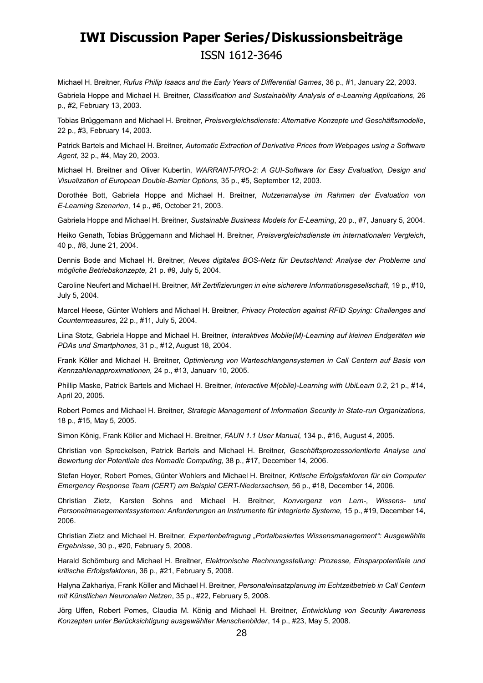Michael H. Breitner, *Rufus Philip Isaacs and the Early Years of Differential Games*, 36 p., #1, January 22, 2003.

Gabriela Hoppe and Michael H. Breitner, *Classification and Sustainability Analysis of e-Learning Applications*, 26 p., #2, February 13, 2003.

Tobias Brüggemann and Michael H. Breitner, *Preisvergleichsdienste: Alternative Konzepte und Geschäftsmodelle*, 22 p., #3, February 14, 2003.

Patrick Bartels and Michael H. Breitner, *Automatic Extraction of Derivative Prices from Webpages using a Software Agent,* 32 p., #4, May 20, 2003.

Michael H. Breitner and Oliver Kubertin, *WARRANT-PRO-2: A GUI-Software for Easy Evaluation, Design and Visualization of European Double-Barrier Options,* 35 p., #5, September 12, 2003.

Dorothée Bott, Gabriela Hoppe and Michael H. Breitner, *Nutzenanalyse im Rahmen der Evaluation von E-Learning Szenarien*, 14 p., #6, October 21, 2003.

Gabriela Hoppe and Michael H. Breitner, *Sustainable Business Models for E-Learning*, 20 p., #7, January 5, 2004.

Heiko Genath, Tobias Brüggemann and Michael H. Breitner, *Preisvergleichsdienste im internationalen Vergleich*, 40 p., #8, June 21, 2004.

Dennis Bode and Michael H. Breitner, *Neues digitales BOS-Netz für Deutschland: Analyse der Probleme und mögliche Betriebskonzepte,* 21 p. #9, July 5, 2004.

Caroline Neufert and Michael H. Breitner, *Mit Zertifizierungen in eine sicherere Informationsgesellschaft*, 19 p., #10, July 5, 2004.

Marcel Heese, Günter Wohlers and Michael H. Breitner, *Privacy Protection against RFID Spying: Challenges and Countermeasures*, 22 p., #11, July 5, 2004.

Liina Stotz, Gabriela Hoppe and Michael H. Breitner, *Interaktives Mobile(M)-Learning auf kleinen Endgeräten wie PDAs und Smartphones*, 31 p., #12, August 18, 2004.

Frank Köller and Michael H. Breitner, *Optimierung von Warteschlangensystemen in Call Centern auf Basis von Kennzahlenapproximationen,* 24 p., #13, Januarv 10, 2005.

Phillip Maske, Patrick Bartels and Michael H. Breitner, *Interactive M(obile)-Learning with UbiLearn 0.2*, 21 p., #14, April 20, 2005.

Robert Pomes and Michael H. Breitner, *Strategic Management of Information Security in State-run Organizations,* 18 p., #15, May 5, 2005.

Simon König, Frank Köller and Michael H. Breitner, *FAUN 1.1 User Manual,* 134 p., #16, August 4, 2005.

Christian von Spreckelsen, Patrick Bartels and Michael H. Breitner, *Geschäftsprozessorientierte Analyse und Bewertung der Potentiale des Nomadic Computing,* 38 p., #17, December 14, 2006.

Stefan Hoyer, Robert Pomes, Günter Wohlers and Michael H. Breitner, *Kritische Erfolgsfaktoren für ein Computer Emergency Response Team (CERT) am Beispiel CERT-Niedersachsen,* 56 p., #18, December 14, 2006.

Christian Zietz, Karsten Sohns and Michael H. Breitner, *Konvergenz von Lern-, Wissens- und Personalmanagementssystemen: Anforderungen an Instrumente für integrierte Systeme,* 15 p., #19, December 14, 2006.

Christian Zietz and Michael H. Breitner, *Expertenbefragung "Portalbasiertes Wissensmanagement": Ausgewählte Ergebnisse*, 30 p., #20, February 5, 2008.

Harald Schömburg and Michael H. Breitner, *Elektronische Rechnungsstellung: Prozesse, Einsparpotentiale und kritische Erfolgsfaktoren*, 36 p., #21, February 5, 2008.

Halyna Zakhariya, Frank Köller and Michael H. Breitner, *Personaleinsatzplanung im Echtzeitbetrieb in Call Centern mit Künstlichen Neuronalen Netzen*, 35 p., #22, February 5, 2008.

Jörg Uffen, Robert Pomes, Claudia M. König and Michael H. Breitner, *Entwicklung von Security Awareness Konzepten unter Berücksichtigung ausgewählter Menschenbilder*, 14 p., #23, May 5, 2008.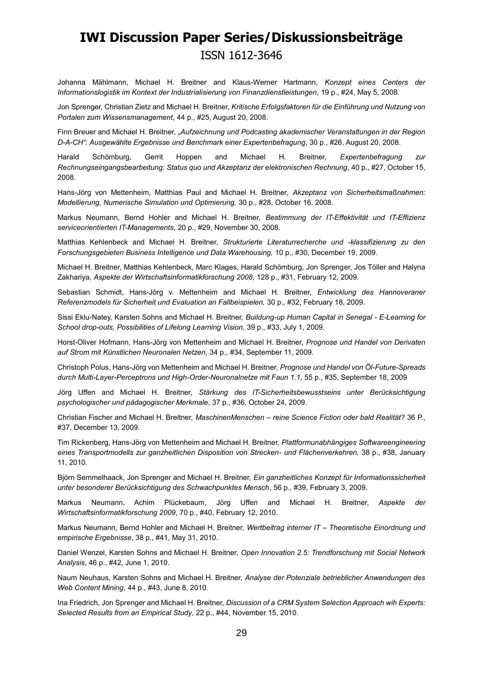Johanna Mählmann, Michael H. Breitner and Klaus-Werner Hartmann, *Konzept eines Centers der Informationslogistik im Kontext der Industrialisierung von Finanzdienstleistungen*, 19 p., #24, May 5, 2008.

Jon Sprenger, Christian Zietz and Michael H. Breitner, *Kritische Erfolgsfaktoren für die Einführung und Nutzung von Portalen zum Wissensmanagement*, 44 p., #25, August 20, 2008.

Finn Breuer and Michael H. Breitner, *"Aufzeichnung und Podcasting akademischer Veranstaltungen in der Region D-A-CH": Ausgewählte Ergebnisse und Benchmark einer Expertenbefragung*, 30 p., #26, August 20, 2008.

Harald Schömburg, Gerrit Hoppen and Michael H. Breitner, *Expertenbefragung zur Rechnungseingangsbearbeitung: Status quo und Akzeptanz der elektronischen Rechnung*, 40 p., #27, October 15, 2008.

Hans-Jörg von Mettenheim, Matthias Paul and Michael H. Breitner, *Akzeptanz von Sicherheitsmaßnahmen: Modellierung, Numerische Simulation und Optimierung,* 30 p., #28, October 16, 2008.

Markus Neumann, Bernd Hohler and Michael H. Breitner, *Bestimmung der IT-Effektivität und IT-Effizienz serviceorientierten IT-Managements,* 20 p., #29, November 30, 2008.

Matthias Kehlenbeck and Michael H. Breitner, *Strukturierte Literaturrecherche und -klassifizierung zu den Forschungsgebieten Business Intelligence und Data Warehousing,* 10 p., #30, December 19, 2009.

Michael H. Breitner, Matthias Kehlenbeck, Marc Klages, Harald Schömburg, Jon Sprenger, Jos Töller and Halyna Zakhariya, *Aspekte der Wirtschaftsinformatikforschung 2008,* 128 p., #31, February 12, 2009.

Sebastian Schmidt, Hans-Jörg v. Mettenheim and Michael H. Breitner, *Entwicklung des Hannoveraner Referenzmodels für Sicherheit und Evaluation an Fallbeispielen,* 30 p., #32, February 18, 2009.

Sissi Eklu-Natey, Karsten Sohns and Michael H. Breitner, *Buildung-up Human Capital in Senegal - E-Learning for School drop-outs, Possibilities of Lifelong Learning Vision,* 39 p., #33, July 1, 2009.

Horst-Oliver Hofmann, Hans-Jörg von Mettenheim and Michael H. Breitner, *Prognose und Handel von Derivaten auf Strom mit Künstlichen Neuronalen Netzen,* 34 p., #34, September 11, 2009.

Christoph Polus, Hans-Jörg von Mettenheim and Michael H. Breitner, *Prognose und Handel von Öl-Future-Spreads durch Multi-Layer-Perceptrons und High-Order-Neuronalnetze mit Faun 1.1,* 55 p., #35, September 18, 2009

Jörg Uffen and Michael H. Breitner, *Stärkung des IT-Sicherheitsbewusstseins unter Berücksichtigung psychologischer und pädagogischer Merkmale*, 37 p., #36, October 24, 2009.

Christian Fischer and Michael H. Breitner, *MaschinenMenschen – reine Science Fiction oder bald Realität?* 36 P., #37, December 13, 2009.

Tim Rickenberg, Hans-Jörg von Mettenheim and Michael H. Breitner, *Plattformunabhängiges Softwareengineering eines Transportmodells zur ganzheitlichen Disposition von Strecken- und Flächenverkehren,* 38 p., #38, January 11, 2010.

Björn Semmelhaack, Jon Sprenger and Michael H. Breitner, *Ein ganzheitliches Konzept für Informationssicherheit unter besonderer Berücksichtigung des Schwachpunktes Mensch*, 56 p., #39, February 3, 2009.

Markus Neumann, Achim Plückebaum, Jörg Uffen and Michael H. Breitner, *Aspekte der Wirtschaftsinformatikforschung 2009*, 70 p., #40, February 12, 2010.

Markus Neumann, Bernd Hohler and Michael H. Breitner, *Wertbeitrag interner IT – Theoretische Einordnung und empirische Ergebnisse*, 38 p., #41, May 31, 2010.

Daniel Wenzel, Karsten Sohns and Michael H. Breitner, *Open Innovation 2.5: Trendforschung mit Social Network Analysis*, 46 p., #42, June 1, 2010.

Naum Neuhaus, Karsten Sohns and Michael H. Breitner, *Analyse der Potenziale betrieblicher Anwendungen des Web Content Mining,* 44 p., #43, June 8, 2010.

Ina Friedrich, Jon Sprenger and Michael H. Breitner, *Discussion of a CRM System Selection Approach wih Experts: Selected Results from an Empirical Study*, 22 p., #44, November 15, 2010.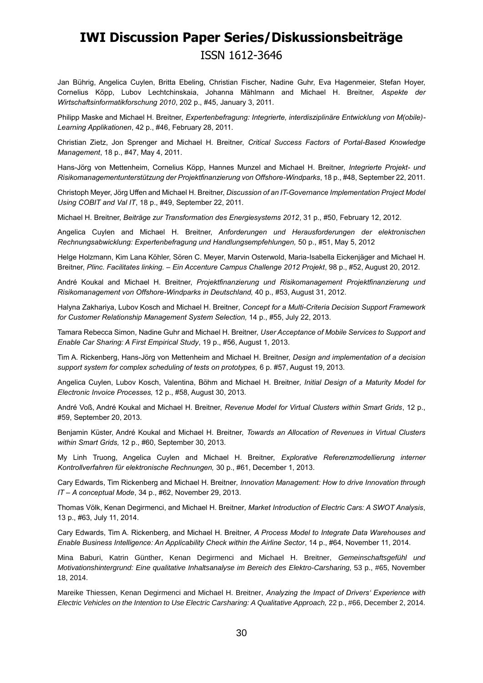Jan Bührig, Angelica Cuylen, Britta Ebeling, Christian Fischer, Nadine Guhr, Eva Hagenmeier, Stefan Hoyer, Cornelius Köpp, Lubov Lechtchinskaia, Johanna Mählmann and Michael H. Breitner, *Aspekte der Wirtschaftsinformatikforschung 2010*, 202 p., #45, January 3, 2011.

Philipp Maske and Michael H. Breitner, *Expertenbefragung: Integrierte, interdisziplinäre Entwicklung von M(obile)- Learning Applikationen*, 42 p., #46, February 28, 2011.

Christian Zietz, Jon Sprenger and Michael H. Breitner, *Critical Success Factors of Portal-Based Knowledge Management*, 18 p., #47, May 4, 2011.

Hans-Jörg von Mettenheim, Cornelius Köpp, Hannes Munzel and Michael H. Breitner, *Integrierte Projekt- und Risikomanagementunterstützung der Projektfinanzierung von Offshore-Windparks*, 18 p., #48, September 22, 2011.

Christoph Meyer, Jörg Uffen and Michael H. Breitner, *Discussion of an IT-Governance Implementation Project Model Using COBIT and Val IT*, 18 p., #49, September 22, 2011.

Michael H. Breitner, *Beiträge zur Transformation des Energiesystems 2012*, 31 p., #50, February 12, 2012.

Angelica Cuylen and Michael H. Breitner, *Anforderungen und Herausforderungen der elektronischen Rechnungsabwicklung: Expertenbefragung und Handlungsempfehlungen,* 50 p., #51, May 5, 2012

Helge Holzmann, Kim Lana Köhler, Sören C. Meyer, Marvin Osterwold, Maria-Isabella Eickenjäger and Michael H. Breitner, *Plinc. Facilitates linking. – Ein Accenture Campus Challenge 2012 Projekt*, 98 p., #52, August 20, 2012.

André Koukal and Michael H. Breitner, *Projektfinanzierung und Risikomanagement Projektfinanzierung und Risikomanagement von Offshore-Windparks in Deutschland,* 40 p., #53, August 31, 2012.

Halyna Zakhariya, Lubov Kosch and Michael H. Breitner*, Concept for a Multi-Criteria Decision Support Framework for Customer Relationship Management System Selection,* 14 p., #55, July 22, 2013.

Tamara Rebecca Simon, Nadine Guhr and Michael H. Breitner, *User Acceptance of Mobile Services to Support and Enable Car Sharing: A First Empirical Study*, 19 p., #56, August 1, 2013.

Tim A. Rickenberg, Hans-Jörg von Mettenheim and Michael H. Breitner, *Design and implementation of a decision support system for complex scheduling of tests on prototypes,* 6 p. #57, August 19, 2013.

Angelica Cuylen, Lubov Kosch, Valentina, Böhm and Michael H. Breitner*, Initial Design of a Maturity Model for Electronic Invoice Processes,* 12 p., #58, August 30, 2013.

André Voß, André Koukal and Michael H. Breitner, *Revenue Model for Virtual Clusters within Smart Grids*, 12 p., #59, September 20, 2013.

Benjamin Küster, André Koukal and Michael H. Breitner, *Towards an Allocation of Revenues in Virtual Clusters within Smart Grids,* 12 p., #60, September 30, 2013.

My Linh Truong, Angelica Cuylen and Michael H. Breitner, *Explorative Referenzmodellierung interner Kontrollverfahren für elektronische Rechnungen,* 30 p., #61, December 1, 2013.

Cary Edwards, Tim Rickenberg and Michael H. Breitner*, Innovation Management: How to drive Innovation through IT – A conceptual Mode*, 34 p., #62, November 29, 2013.

Thomas Völk, Kenan Degirmenci, and Michael H. Breitner*, Market Introduction of Electric Cars: A SWOT Analysis*, 13 p., #63, July 11, 2014.

Cary Edwards, Tim A. Rickenberg, and Michael H. Breitner, *A Process Model to Integrate Data Warehouses and Enable Business Intelligence: An Applicability Check within the Airline Sector*, 14 p., #64, November 11, 2014.

Mina Baburi, Katrin Günther, Kenan Degirmenci and Michael H. Breitner, *Gemeinschaftsgefühl und Motivationshintergrund: Eine qualitative Inhaltsanalyse im Bereich des Elektro-Carsharing, 53 p., #65, November* 18, 2014.

Mareike Thiessen, Kenan Degirmenci and Michael H. Breitner, *Analyzing the Impact of Drivers' Experience with Electric Vehicles on the Intention to Use Electric Carsharing: A Qualitative Approach, 22 p., #66, December 2, 2014.*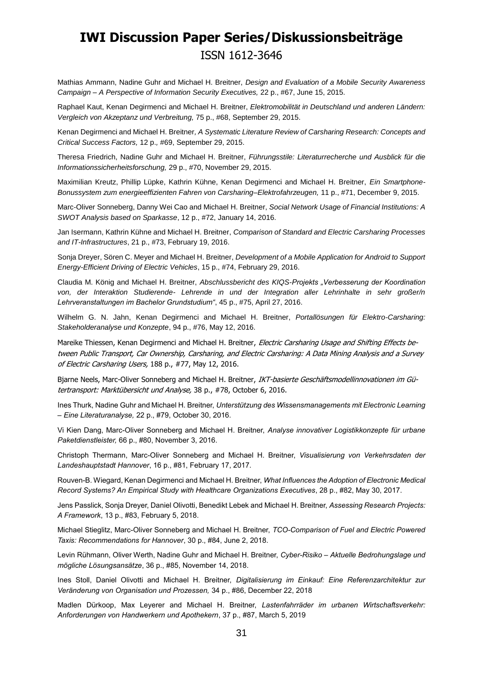Mathias Ammann, Nadine Guhr and Michael H. Breitner, *Design and Evaluation of a Mobile Security Awareness Campaign – A Perspective of Information Security Executives,* 22 p., #67, June 15, 2015.

Raphael Kaut, Kenan Degirmenci and Michael H. Breitner, *Elektromobilität in Deutschland und anderen Ländern: Vergleich von Akzeptanz und Verbreitung,* 75 p., #68, September 29, 2015.

Kenan Degirmenci and Michael H. Breitner*, A Systematic Literature Review of Carsharing Research: Concepts and Critical Success Factors,* 12 p.*,* #69, September 29, 2015.

Theresa Friedrich, Nadine Guhr and Michael H. Breitner, *Führungsstile: Literaturrecherche und Ausblick für die Informationssicherheitsforschung,* 29 p., #70, November 29, 2015.

Maximilian Kreutz, Phillip Lüpke, Kathrin Kühne, Kenan Degirmenci and Michael H. Breitner, *Ein Smartphone-Bonussystem zum energieeffizienten Fahren von Carsharing–Elektrofahrzeugen,* 11 p., #71, December 9, 2015.

Marc-Oliver Sonneberg, Danny Wei Cao and Michael H. Breitner, *Social Network Usage of Financial Institutions: A SWOT Analysis based on Sparkasse*, 12 p., #72, January 14, 2016.

Jan Isermann, Kathrin Kühne and Michael H. Breitner, *Comparison of Standard and Electric Carsharing Processes and IT-Infrastructures*, 21 p., #73, February 19, 2016.

Sonja Dreyer, Sören C. Meyer and Michael H. Breitner, *Development of a Mobile Application for Android to Support Energy-Efficient Driving of Electric Vehicles*, 15 p., #74, February 29, 2016.

Claudia M. König and Michael H. Breitner, *Abschlussbericht des KIQS-Projekts "Verbesserung der Koordination von, der Interaktion Studierende- Lehrende in und der Integration aller Lehrinhalte in sehr großer/n Lehrveranstaltungen im Bachelor Grundstudium"*, 45 p., #75, April 27, 2016.

Wilhelm G. N. Jahn, Kenan Degirmenci and Michael H. Breitner, *Portallösungen für Elektro-Carsharing: Stakeholderanalyse und Konzepte*, 94 p., #76, May 12, 2016.

Mareike Thiessen, Kenan Degirmenci and Michael H. Breitner, Electric Carsharing Usage and Shifting Effects between Public Transport, Car Ownership, Carsharing, and Electric Carsharing: A Data Mining Analysis and a Survey of Electric Carsharing Users, 188 p., #77, May 12, 2016.

Bjarne Neels, Marc-Oliver Sonneberg and Michael H. Breitner, IKT-basierte Geschäftsmodellinnovationen im Gütertransport: Marktübersicht und Analyse, 38 p., #78, October 6, 2016.

Ines Thurk, Nadine Guhr and Michael H. Breitner, *Unterstützung des Wissensmanagements mit Electronic Learning – Eine Literaturanalyse,* 22 p., #79, October 30, 2016.

Vi Kien Dang, Marc-Oliver Sonneberg and Michael H. Breitner, *Analyse innovativer Logistikkonzepte für urbane Paketdienstleister,* 66 p., #80, November 3, 2016.

Christoph Thermann, Marc-Oliver Sonneberg and Michael H. Breitner, *Visualisierung von Verkehrsdaten der Landeshauptstadt Hannover*, 16 p., #81, February 17, 2017.

Rouven-B. Wiegard, Kenan Degirmenci and Michael H. Breitner, *What Influences the Adoption of Electronic Medical Record Systems? An Empirical Study with Healthcare Organizations Executives*, 28 p., #82, May 30, 2017.

Jens Passlick, Sonja Dreyer, Daniel Olivotti, Benedikt Lebek and Michael H. Breitner, *Assessing Research Projects: A Framework*, 13 p., #83, February 5, 2018.

Michael Stieglitz, Marc-Oliver Sonneberg and Michael H. Breitner, *TCO-Comparison of Fuel and Electric Powered Taxis: Recommendations for Hannover*, 30 p., #84, June 2, 2018.

Levin Rühmann, Oliver Werth, Nadine Guhr and Michael H. Breitner, *Cyber-Risiko – Aktuelle Bedrohungslage und mögliche Lösungsansätze*, 36 p., #85, November 14, 2018.

Ines Stoll, Daniel Olivotti and Michael H. Breitner, *Digitalisierung im Einkauf: Eine Referenzarchitektur zur Veränderung von Organisation und Prozessen,* 34 p., #86, December 22, 2018

Madlen Dürkoop, Max Leyerer and Michael H. Breitner, *Lastenfahrräder im urbanen Wirtschaftsverkehr: Anforderungen von Handwerkern und Apothekern*, 37 p., #87, March 5, 2019